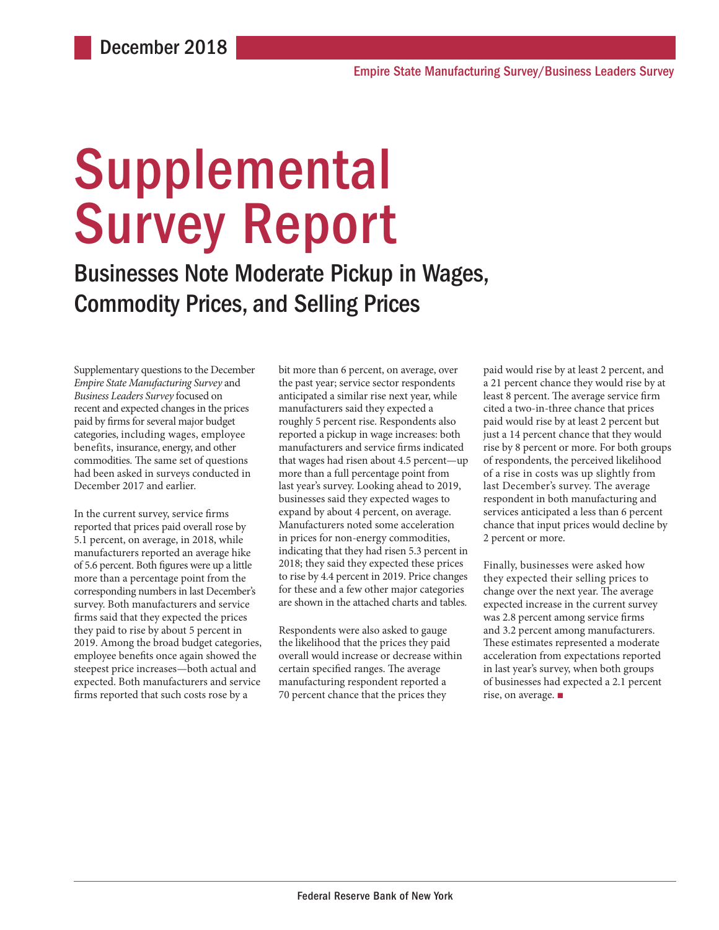# Supplemental Survey Report

Businesses Note Moderate Pickup in Wages, Commodity Prices, and Selling Prices

Supplementary questions to the December *Empire State Manufacturing Survey* and *Business Leaders Survey* focused on recent and expected changes in the prices paid by firms for several major budget categories, including wages, employee benefits, insurance, energy, and other commodities. The same set of questions had been asked in surveys conducted in December 2017 and earlier.

In the current survey, service firms reported that prices paid overall rose by 5.1 percent, on average, in 2018, while manufacturers reported an average hike of 5.6 percent. Both figures were up a little more than a percentage point from the corresponding numbers in last December's survey. Both manufacturers and service firms said that they expected the prices they paid to rise by about 5 percent in 2019. Among the broad budget categories, employee benefits once again showed the steepest price increases—both actual and expected. Both manufacturers and service firms reported that such costs rose by a

bit more than 6 percent, on average, over the past year; service sector respondents anticipated a similar rise next year, while manufacturers said they expected a roughly 5 percent rise. Respondents also reported a pickup in wage increases: both manufacturers and service firms indicated that wages had risen about 4.5 percent—up more than a full percentage point from last year's survey. Looking ahead to 2019, businesses said they expected wages to expand by about 4 percent, on average. Manufacturers noted some acceleration in prices for non-energy commodities, indicating that they had risen 5.3 percent in 2018; they said they expected these prices to rise by 4.4 percent in 2019. Price changes for these and a few other major categories are shown in the attached charts and tables.

Respondents were also asked to gauge the likelihood that the prices they paid overall would increase or decrease within certain specified ranges. The average manufacturing respondent reported a 70 percent chance that the prices they

paid would rise by at least 2 percent, and a 21 percent chance they would rise by at least 8 percent. The average service firm cited a two-in-three chance that prices paid would rise by at least 2 percent but just a 14 percent chance that they would rise by 8 percent or more. For both groups of respondents, the perceived likelihood of a rise in costs was up slightly from last December's survey. The average respondent in both manufacturing and services anticipated a less than 6 percent chance that input prices would decline by 2 percent or more.

Finally, businesses were asked how they expected their selling prices to change over the next year. The average expected increase in the current survey was 2.8 percent among service firms and 3.2 percent among manufacturers. These estimates represented a moderate acceleration from expectations reported in last year's survey, when both groups of businesses had expected a 2.1 percent rise, on average. ■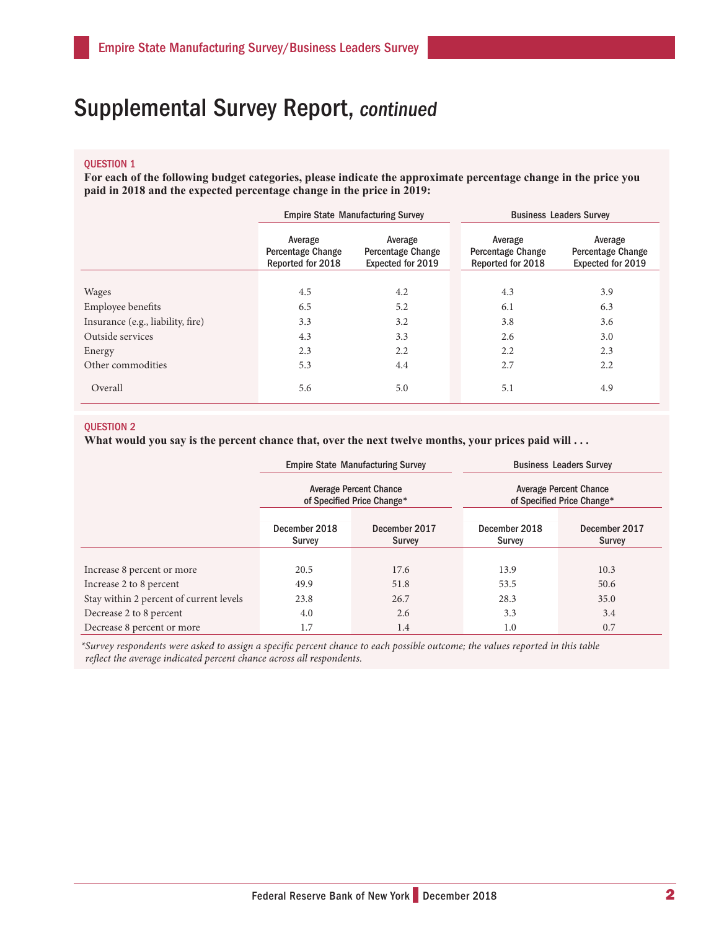# Supplemental Survey Report, continued

## QUESTION 1

**For each of the following budget categories, please indicate the approximate percentage change in the price you paid in 2018 and the expected percentage change in the price in 2019:**

|                                   | <b>Empire State Manufacturing Survey</b>          |                                                          |  | <b>Business Leaders Survey</b>                           |                                                          |  |
|-----------------------------------|---------------------------------------------------|----------------------------------------------------------|--|----------------------------------------------------------|----------------------------------------------------------|--|
|                                   | Average<br>Percentage Change<br>Reported for 2018 | Average<br><b>Percentage Change</b><br>Expected for 2019 |  | Average<br><b>Percentage Change</b><br>Reported for 2018 | Average<br><b>Percentage Change</b><br>Expected for 2019 |  |
|                                   |                                                   |                                                          |  |                                                          |                                                          |  |
| <b>Wages</b>                      | 4.5                                               | 4.2                                                      |  | 4.3                                                      | 3.9                                                      |  |
| Employee benefits                 | 6.5                                               | 5.2                                                      |  | 6.1                                                      | 6.3                                                      |  |
| Insurance (e.g., liability, fire) | 3.3                                               | 3.2                                                      |  | 3.8                                                      | 3.6                                                      |  |
| Outside services                  | 4.3                                               | 3.3                                                      |  | 2.6                                                      | 3.0                                                      |  |
| Energy                            | 2.3                                               | 2.2                                                      |  | 2.2                                                      | 2.3                                                      |  |
| Other commodities                 | 5.3                                               | 4.4                                                      |  | 2.7                                                      | 2.2                                                      |  |
| Overall                           | 5.6                                               | 5.0                                                      |  | 5.1                                                      | 4.9                                                      |  |

## QUESTION 2

What would you say is the percent chance that, over the next twelve months, your prices paid will . . .

|                                         |                         | <b>Empire State Manufacturing Survey</b>                    | <b>Business Leaders Survey</b><br><b>Average Percent Chance</b><br>of Specified Price Change* |                                |  |
|-----------------------------------------|-------------------------|-------------------------------------------------------------|-----------------------------------------------------------------------------------------------|--------------------------------|--|
|                                         |                         | <b>Average Percent Chance</b><br>of Specified Price Change* |                                                                                               |                                |  |
|                                         | December 2018<br>Survey | December 2017<br>Survey                                     | December 2018<br><b>Survey</b>                                                                | December 2017<br><b>Survey</b> |  |
|                                         |                         |                                                             |                                                                                               |                                |  |
| Increase 8 percent or more              | 20.5                    | 17.6                                                        | 13.9                                                                                          | 10.3                           |  |
| Increase 2 to 8 percent                 | 49.9                    | 51.8                                                        | 53.5                                                                                          | 50.6                           |  |
| Stay within 2 percent of current levels | 23.8                    | 26.7                                                        | 28.3                                                                                          | 35.0                           |  |
| Decrease 2 to 8 percent                 | 4.0                     | 2.6                                                         | 3.3                                                                                           | 3.4                            |  |
| Decrease 8 percent or more              | 1.7                     | 1.4                                                         | 1.0                                                                                           | 0.7                            |  |

*\*Survey respondents were asked to assign a specific percent chance to each possible outcome; the values reported in this table reflect the average indicated percent chance across all respondents.*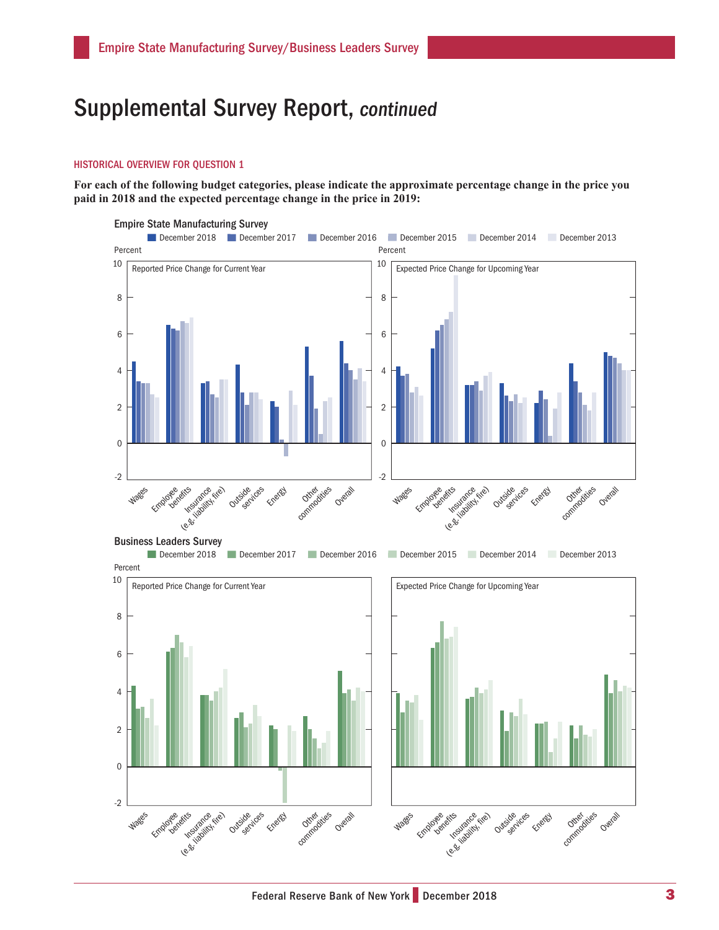## Supplemental Survey Report, continued

### HISTORICAL OVERVIEW FOR QUESTION 1

**For each of the following budget categories, please indicate the approximate percentage change in the price you paid in 2018 and the expected percentage change in the price in 2019:**